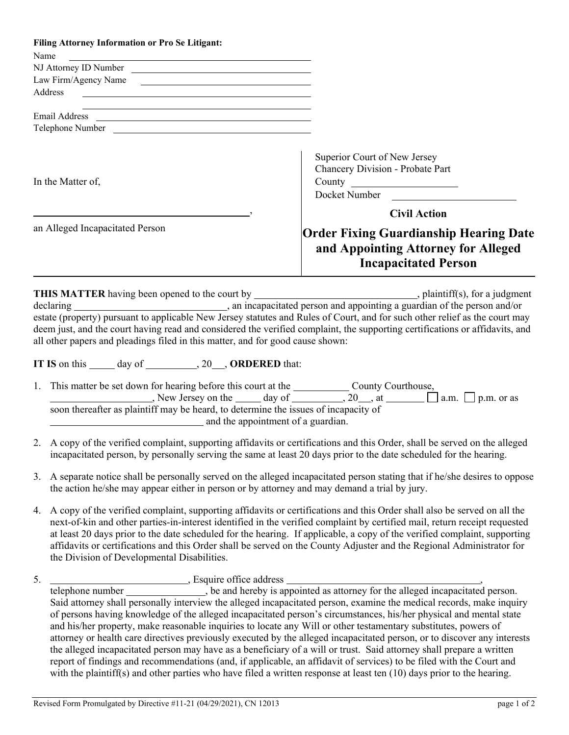|                                                                                                                    | Filing Attorney Information or Pro Se Litigant:                                                                                                                                                                                                                                                                                                                                                                                                                                                                                                             |                                                                                                                              |  |
|--------------------------------------------------------------------------------------------------------------------|-------------------------------------------------------------------------------------------------------------------------------------------------------------------------------------------------------------------------------------------------------------------------------------------------------------------------------------------------------------------------------------------------------------------------------------------------------------------------------------------------------------------------------------------------------------|------------------------------------------------------------------------------------------------------------------------------|--|
| Name                                                                                                               | <u> 1989 - Jan Samuel Barbara, martin da shekara tsa 1989 - An tsa 1989 - An tsa 1989 - An tsa 1989 - An tsa 198</u>                                                                                                                                                                                                                                                                                                                                                                                                                                        |                                                                                                                              |  |
|                                                                                                                    | NJ Attorney ID Number                                                                                                                                                                                                                                                                                                                                                                                                                                                                                                                                       |                                                                                                                              |  |
|                                                                                                                    | Law Firm/Agency Name<br>Address                                                                                                                                                                                                                                                                                                                                                                                                                                                                                                                             |                                                                                                                              |  |
|                                                                                                                    | <u> 1989 - Andrea State Barbara, amerikan personal di sebagai personal di sebagai personal di sebagai personal d</u>                                                                                                                                                                                                                                                                                                                                                                                                                                        |                                                                                                                              |  |
|                                                                                                                    | Email Address <u>and a series of the series of the series of the series of the series of the series of the series of the series of the series of the series of the series of the series of the series of the series of the serie</u>                                                                                                                                                                                                                                                                                                                        |                                                                                                                              |  |
|                                                                                                                    | Telephone Number                                                                                                                                                                                                                                                                                                                                                                                                                                                                                                                                            |                                                                                                                              |  |
|                                                                                                                    |                                                                                                                                                                                                                                                                                                                                                                                                                                                                                                                                                             |                                                                                                                              |  |
| In the Matter of,                                                                                                  |                                                                                                                                                                                                                                                                                                                                                                                                                                                                                                                                                             | Superior Court of New Jersey<br>Chancery Division - Probate Part<br>Docket Number                                            |  |
|                                                                                                                    |                                                                                                                                                                                                                                                                                                                                                                                                                                                                                                                                                             | <b>Civil Action</b>                                                                                                          |  |
| an Alleged Incapacitated Person                                                                                    |                                                                                                                                                                                                                                                                                                                                                                                                                                                                                                                                                             |                                                                                                                              |  |
|                                                                                                                    |                                                                                                                                                                                                                                                                                                                                                                                                                                                                                                                                                             | <b>Order Fixing Guardianship Hearing Date</b>                                                                                |  |
|                                                                                                                    |                                                                                                                                                                                                                                                                                                                                                                                                                                                                                                                                                             | and Appointing Attorney for Alleged                                                                                          |  |
|                                                                                                                    |                                                                                                                                                                                                                                                                                                                                                                                                                                                                                                                                                             | <b>Incapacitated Person</b>                                                                                                  |  |
|                                                                                                                    | all other papers and pleadings filed in this matter, and for good cause shown:<br>IT IS on this ______ day of __________, 20___, ORDERED that:<br>1. This matter be set down for hearing before this court at the _________________ County Courthouse,                                                                                                                                                                                                                                                                                                      | deem just, and the court having read and considered the verified complaint, the supporting certifications or affidavits, and |  |
|                                                                                                                    | New Jersey on the $\_\_\_$ day of $\_\_\_\_$ , 20, at $\_\_\_\_\_$ a.m. $\_\_\_\_\_$ p.m. or as<br>soon thereafter as plaintiff may be heard, to determine the issues of incapacity of<br>and the appointment of a guardian.                                                                                                                                                                                                                                                                                                                                |                                                                                                                              |  |
|                                                                                                                    | 2. A copy of the verified complaint, supporting affidavits or certifications and this Order, shall be served on the alleged<br>incapacitated person, by personally serving the same at least 20 days prior to the date scheduled for the hearing.                                                                                                                                                                                                                                                                                                           |                                                                                                                              |  |
| 3.                                                                                                                 | A separate notice shall be personally served on the alleged incapacitated person stating that if he/she desires to oppose<br>the action he/she may appear either in person or by attorney and may demand a trial by jury.                                                                                                                                                                                                                                                                                                                                   |                                                                                                                              |  |
| 4.                                                                                                                 | A copy of the verified complaint, supporting affidavits or certifications and this Order shall also be served on all the<br>next-of-kin and other parties-in-interest identified in the verified complaint by certified mail, return receipt requested<br>at least 20 days prior to the date scheduled for the hearing. If applicable, a copy of the verified complaint, supporting<br>affidavits or certifications and this Order shall be served on the County Adjuster and the Regional Administrator for<br>the Division of Developmental Disabilities. |                                                                                                                              |  |
| 5.                                                                                                                 |                                                                                                                                                                                                                                                                                                                                                                                                                                                                                                                                                             |                                                                                                                              |  |
|                                                                                                                    |                                                                                                                                                                                                                                                                                                                                                                                                                                                                                                                                                             |                                                                                                                              |  |
|                                                                                                                    |                                                                                                                                                                                                                                                                                                                                                                                                                                                                                                                                                             | Said attorney shall personally interview the alleged incapacitated person, examine the medical records, make inquiry         |  |
| of persons having knowledge of the alleged incapacitated person's circumstances, his/her physical and mental state |                                                                                                                                                                                                                                                                                                                                                                                                                                                                                                                                                             |                                                                                                                              |  |

of persons having knowledge of the alleged incapacitated person's circumstances, his/her physical and mental state and his/her property, make reasonable inquiries to locate any Will or other testamentary substitutes, powers of attorney or health care directives previously executed by the alleged incapacitated person, or to discover any interests the alleged incapacitated person may have as a beneficiary of a will or trust. Said attorney shall prepare a written report of findings and recommendations (and, if applicable, an affidavit of services) to be filed with the Court and with the plaintiff(s) and other parties who have filed a written response at least ten (10) days prior to the hearing.